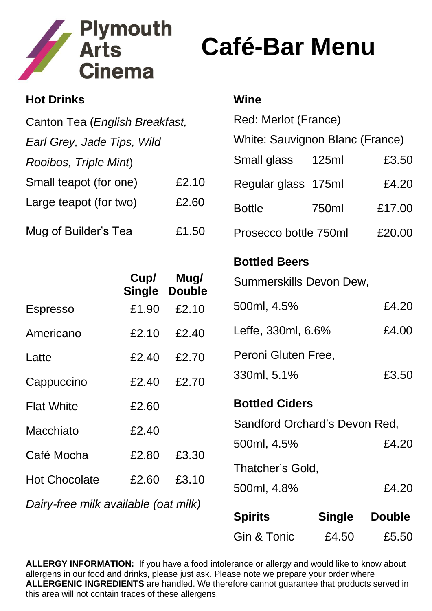

## **Café-Bar Menu**

| <b>Hot Drinks</b>              |                       |                       | Wine                            |        |
|--------------------------------|-----------------------|-----------------------|---------------------------------|--------|
| Canton Tea (English Breakfast, |                       |                       | Red: Merlot (France)            |        |
| Earl Grey, Jade Tips, Wild     |                       |                       | White: Sauvignon Blanc (France) |        |
| Rooibos, Triple Mint)          |                       |                       | Small glass<br>125ml            | £3.50  |
| Small teapot (for one)         |                       | £2.10                 | Regular glass 175ml             | £4.20  |
| Large teapot (for two)         |                       | £2.60                 | <b>Bottle</b><br>750ml          | £17.00 |
| Mug of Builder's Tea<br>£1.50  |                       |                       | Prosecco bottle 750ml           | £20.00 |
|                                |                       |                       | <b>Bottled Beers</b>            |        |
|                                | Cup/<br><b>Single</b> | Mug/<br><b>Double</b> | Summerskills Devon Dew,         |        |
| <b>Espresso</b>                | £1.90                 | £2.10                 | 500ml, 4.5%                     | £4.20  |
| Americano                      | £2.10                 | £2.40                 | Leffe, 330ml, 6.6%              | £4.00  |
| Latte                          | £2.40                 | £2.70                 | Peroni Gluten Free,             |        |
| Cappuccino                     | £2.40                 | £2.70                 | 330ml, 5.1%                     | £3.50  |
| <b>Flat White</b>              | £2.60                 |                       | <b>Bottled Ciders</b>           |        |
| <b>Macchiato</b>               | £2.40                 |                       | Sandford Orchard's Devon Red,   |        |
| Café Mocha                     | £2.80                 | £3.30                 | 500ml, 4.5%                     | £4.20  |
|                                |                       |                       | Thatcher's Gold,                |        |
| <b>Hot Chocolate</b>           | £2.60                 | £3.10                 | 500ml, 4.8%                     | £4.20  |

*Dairy-free milk available (oat milk)*

| <b>Spirits</b> | <b>Single</b> | <b>Double</b> |
|----------------|---------------|---------------|
| Gin & Tonic    | £4.50         | £5.50         |

**ALLERGY INFORMATION:** If you have a food intolerance or allergy and would like to know about allergens in our food and drinks, please just ask. Please note we prepare your order where **ALLERGENIC INGREDIENTS** are handled. We therefore cannot guarantee that products served in this area will not contain traces of these allergens.